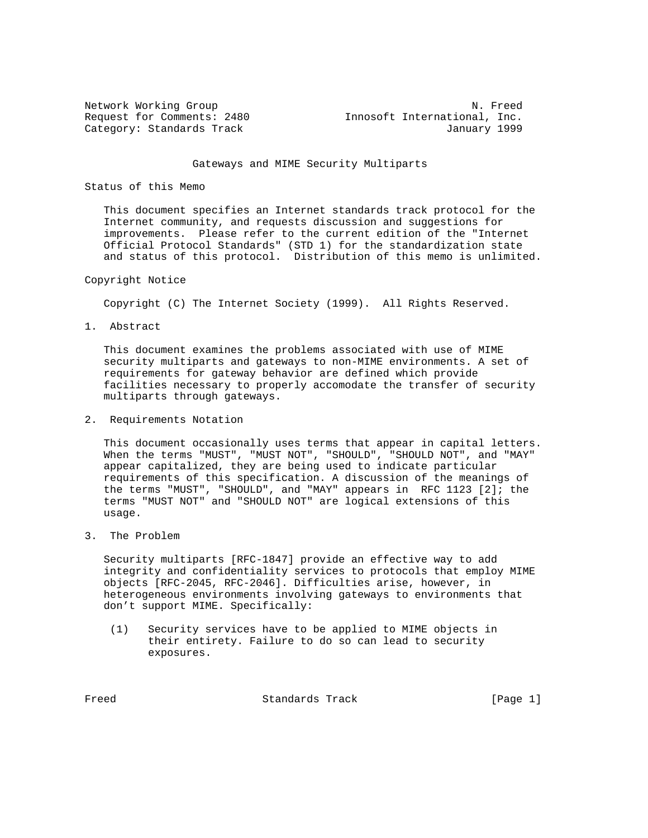Network Working Group<br>Request for Comments: 2480 1nnosoft International, Inc. Innosoft International, Inc. Category: Standards Track January 1999

#### Gateways and MIME Security Multiparts

### Status of this Memo

 This document specifies an Internet standards track protocol for the Internet community, and requests discussion and suggestions for improvements. Please refer to the current edition of the "Internet Official Protocol Standards" (STD 1) for the standardization state and status of this protocol. Distribution of this memo is unlimited.

### Copyright Notice

Copyright (C) The Internet Society (1999). All Rights Reserved.

1. Abstract

 This document examines the problems associated with use of MIME security multiparts and gateways to non-MIME environments. A set of requirements for gateway behavior are defined which provide facilities necessary to properly accomodate the transfer of security multiparts through gateways.

2. Requirements Notation

 This document occasionally uses terms that appear in capital letters. When the terms "MUST", "MUST NOT", "SHOULD", "SHOULD NOT", and "MAY" appear capitalized, they are being used to indicate particular requirements of this specification. A discussion of the meanings of the terms "MUST", "SHOULD", and "MAY" appears in RFC 1123 [2]; the terms "MUST NOT" and "SHOULD NOT" are logical extensions of this usage.

3. The Problem

 Security multiparts [RFC-1847] provide an effective way to add integrity and confidentiality services to protocols that employ MIME objects [RFC-2045, RFC-2046]. Difficulties arise, however, in heterogeneous environments involving gateways to environments that don't support MIME. Specifically:

 (1) Security services have to be applied to MIME objects in their entirety. Failure to do so can lead to security exposures.

Freed Standards Track [Page 1]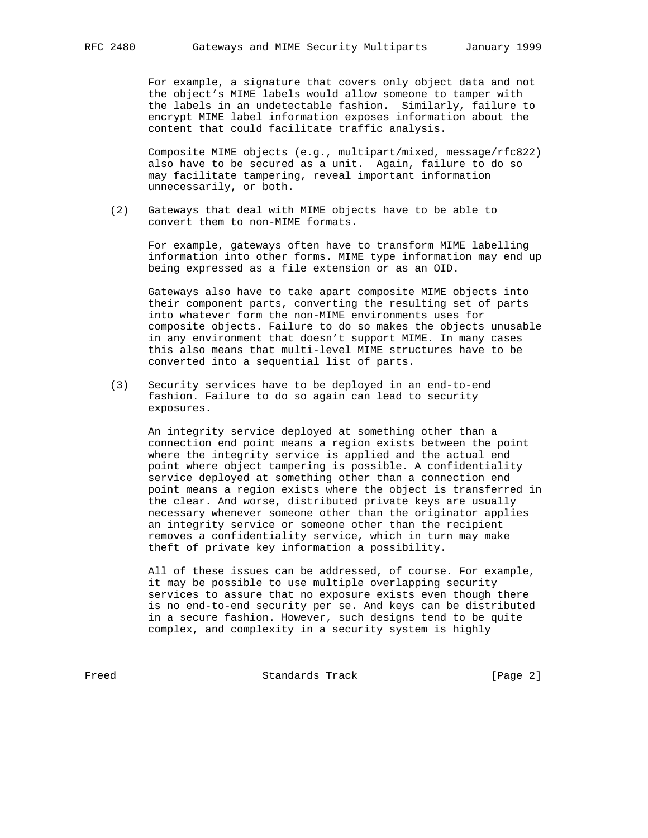For example, a signature that covers only object data and not the object's MIME labels would allow someone to tamper with the labels in an undetectable fashion. Similarly, failure to encrypt MIME label information exposes information about the content that could facilitate traffic analysis.

 Composite MIME objects (e.g., multipart/mixed, message/rfc822) also have to be secured as a unit. Again, failure to do so may facilitate tampering, reveal important information unnecessarily, or both.

 (2) Gateways that deal with MIME objects have to be able to convert them to non-MIME formats.

 For example, gateways often have to transform MIME labelling information into other forms. MIME type information may end up being expressed as a file extension or as an OID.

 Gateways also have to take apart composite MIME objects into their component parts, converting the resulting set of parts into whatever form the non-MIME environments uses for composite objects. Failure to do so makes the objects unusable in any environment that doesn't support MIME. In many cases this also means that multi-level MIME structures have to be converted into a sequential list of parts.

 (3) Security services have to be deployed in an end-to-end fashion. Failure to do so again can lead to security exposures.

 An integrity service deployed at something other than a connection end point means a region exists between the point where the integrity service is applied and the actual end point where object tampering is possible. A confidentiality service deployed at something other than a connection end point means a region exists where the object is transferred in the clear. And worse, distributed private keys are usually necessary whenever someone other than the originator applies an integrity service or someone other than the recipient removes a confidentiality service, which in turn may make theft of private key information a possibility.

 All of these issues can be addressed, of course. For example, it may be possible to use multiple overlapping security services to assure that no exposure exists even though there is no end-to-end security per se. And keys can be distributed in a secure fashion. However, such designs tend to be quite complex, and complexity in a security system is highly

Freed Standards Track [Page 2]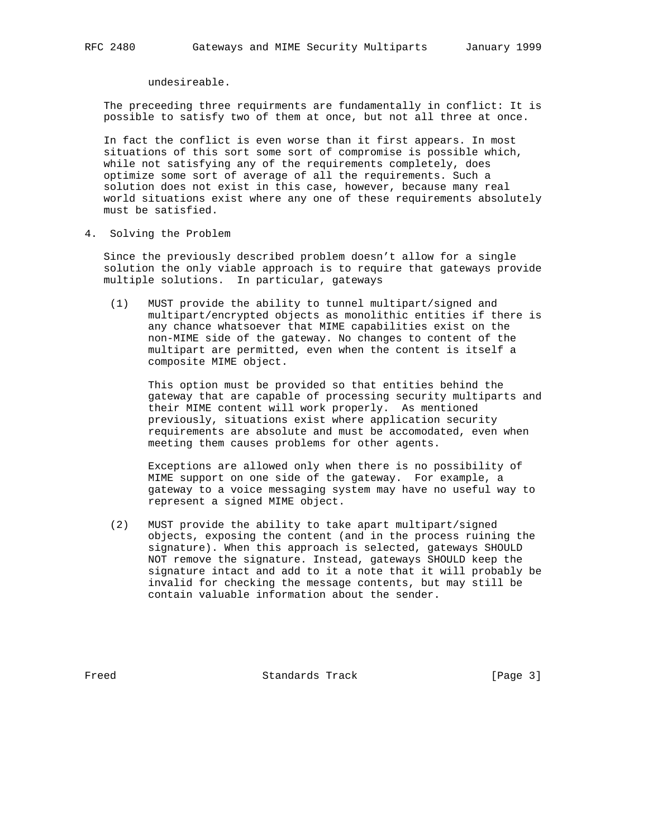undesireable.

 The preceeding three requirments are fundamentally in conflict: It is possible to satisfy two of them at once, but not all three at once.

 In fact the conflict is even worse than it first appears. In most situations of this sort some sort of compromise is possible which, while not satisfying any of the requirements completely, does optimize some sort of average of all the requirements. Such a solution does not exist in this case, however, because many real world situations exist where any one of these requirements absolutely must be satisfied.

4. Solving the Problem

 Since the previously described problem doesn't allow for a single solution the only viable approach is to require that gateways provide multiple solutions. In particular, gateways

 (1) MUST provide the ability to tunnel multipart/signed and multipart/encrypted objects as monolithic entities if there is any chance whatsoever that MIME capabilities exist on the non-MIME side of the gateway. No changes to content of the multipart are permitted, even when the content is itself a composite MIME object.

 This option must be provided so that entities behind the gateway that are capable of processing security multiparts and their MIME content will work properly. As mentioned previously, situations exist where application security requirements are absolute and must be accomodated, even when meeting them causes problems for other agents.

 Exceptions are allowed only when there is no possibility of MIME support on one side of the gateway. For example, a gateway to a voice messaging system may have no useful way to represent a signed MIME object.

 (2) MUST provide the ability to take apart multipart/signed objects, exposing the content (and in the process ruining the signature). When this approach is selected, gateways SHOULD NOT remove the signature. Instead, gateways SHOULD keep the signature intact and add to it a note that it will probably be invalid for checking the message contents, but may still be contain valuable information about the sender.

Freed Standards Track [Page 3]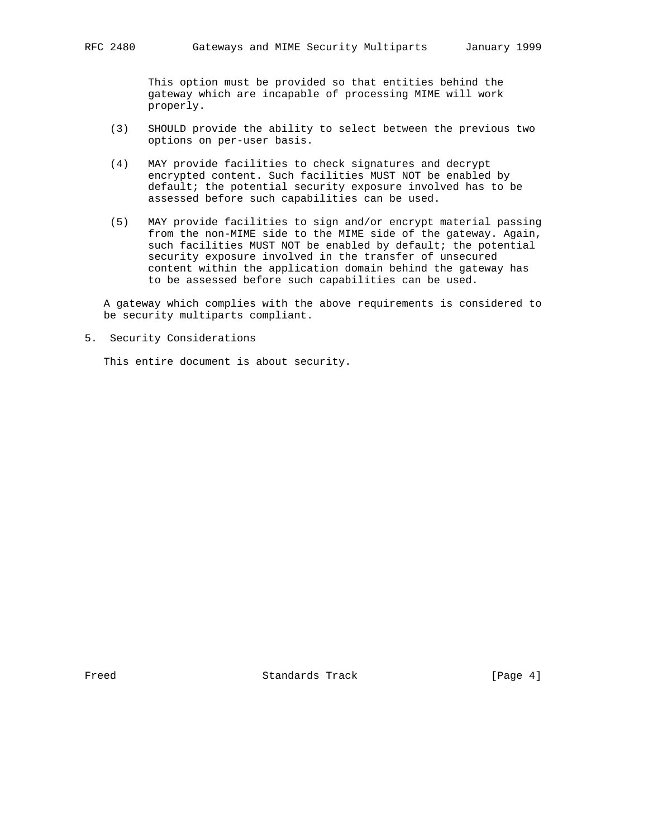This option must be provided so that entities behind the gateway which are incapable of processing MIME will work properly.

- (3) SHOULD provide the ability to select between the previous two options on per-user basis.
- (4) MAY provide facilities to check signatures and decrypt encrypted content. Such facilities MUST NOT be enabled by default; the potential security exposure involved has to be assessed before such capabilities can be used.
- (5) MAY provide facilities to sign and/or encrypt material passing from the non-MIME side to the MIME side of the gateway. Again, such facilities MUST NOT be enabled by default; the potential security exposure involved in the transfer of unsecured content within the application domain behind the gateway has to be assessed before such capabilities can be used.

 A gateway which complies with the above requirements is considered to be security multiparts compliant.

5. Security Considerations

This entire document is about security.

Freed Standards Track [Page 4]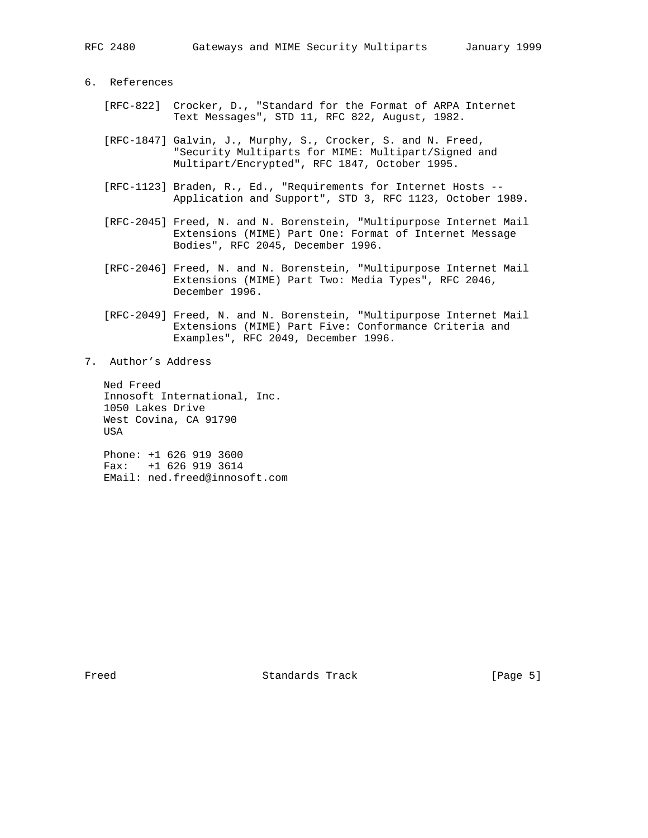# 6. References

- [RFC-822] Crocker, D., "Standard for the Format of ARPA Internet Text Messages", STD 11, RFC 822, August, 1982.
- [RFC-1847] Galvin, J., Murphy, S., Crocker, S. and N. Freed, "Security Multiparts for MIME: Multipart/Signed and Multipart/Encrypted", RFC 1847, October 1995.
- [RFC-1123] Braden, R., Ed., "Requirements for Internet Hosts -- Application and Support", STD 3, RFC 1123, October 1989.
- [RFC-2045] Freed, N. and N. Borenstein, "Multipurpose Internet Mail Extensions (MIME) Part One: Format of Internet Message Bodies", RFC 2045, December 1996.
- [RFC-2046] Freed, N. and N. Borenstein, "Multipurpose Internet Mail Extensions (MIME) Part Two: Media Types", RFC 2046, December 1996.
- [RFC-2049] Freed, N. and N. Borenstein, "Multipurpose Internet Mail Extensions (MIME) Part Five: Conformance Criteria and Examples", RFC 2049, December 1996.
- 7. Author's Address

 Ned Freed Innosoft International, Inc. 1050 Lakes Drive West Covina, CA 91790 USA

 Phone: +1 626 919 3600 Fax: +1 626 919 3614 EMail: ned.freed@innosoft.com

Freed Standards Track [Page 5]